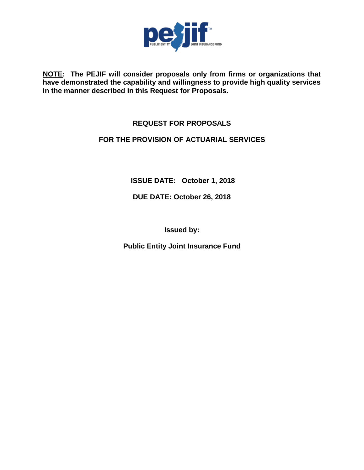

**NOTE: The PEJIF will consider proposals only from firms or organizations that have demonstrated the capability and willingness to provide high quality services in the manner described in this Request for Proposals.**

# **REQUEST FOR PROPOSALS**

## **FOR THE PROVISION OF ACTUARIAL SERVICES**

**ISSUE DATE: October 1, 2018**

**DUE DATE: October 26, 2018**

**Issued by:**

**Public Entity Joint Insurance Fund**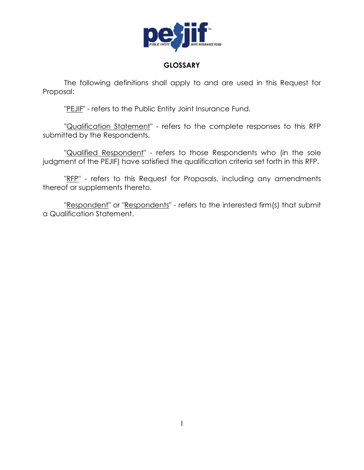

## **GLOSSARY**

The following definitions shall apply to and are used in this Request for Proposal:

"PEJIF" - refers to the Public Entity Joint Insurance Fund.

"Qualification Statement" - refers to the complete responses to this RFP submitted by the Respondents.

"Qualified Respondent" - refers to those Respondents who (in the sole judgment of the PEJIF) have satisfied the qualification criteria set forth in this RFP.

"RFP" - refers to this Request for Proposals, including any amendments thereof or supplements thereto.

"Respondent" or "Respondents" - refers to the interested firm(s) that submit a Qualification Statement.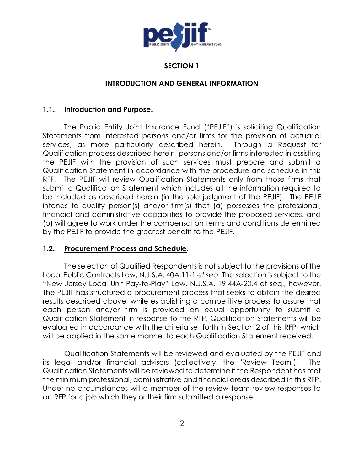

# **SECTION 1**

## **INTRODUCTION AND GENERAL INFORMATION**

### **1.1. Introduction and Purpose.**

The Public Entity Joint Insurance Fund ("PEJIF") is soliciting Qualification Statements from interested persons and/or firms for the provision of actuarial services, as more particularly described herein. Through a Request for Qualification process described herein, persons and/or firms interested in assisting the PEJIF with the provision of such services must prepare and submit a Qualification Statement in accordance with the procedure and schedule in this RFP. The PEJIF will review Qualification Statements only from those firms that submit a Qualification Statement which includes all the information required to be included as described herein (in the sole judgment of the PEJIF). The PEJIF intends to qualify person(s) and/or firm(s) that (a) possesses the professional, financial and administrative capabilities to provide the proposed services, and (b) will agree to work under the compensation terms and conditions determined by the PEJIF to provide the greatest benefit to the PEJIF.

#### **1.2. Procurement Process and Schedule.**

The selection of Qualified Respondents is not subject to the provisions of the Local Public Contracts Law, N.J.S.A. 40A:11-1 *et seq.* The selection is subject to the "New Jersey Local Unit Pay-to-Play" Law, N.J.S.A. 19:44A-20.4 et seq., however. The PEJIF has structured a procurement process that seeks to obtain the desired results described above, while establishing a competitive process to assure that each person and/or firm is provided an equal opportunity to submit a Qualification Statement in response to the RFP. Qualification Statements will be evaluated in accordance with the criteria set forth in Section 2 of this RFP, which will be applied in the same manner to each Qualification Statement received.

Qualification Statements will be reviewed and evaluated by the PEJIF and its legal and/or financial advisors (collectively, the "Review Team"). The Qualification Statements will be reviewed to determine if the Respondent has met the minimum professional, administrative and financial areas described in this RFP. Under no circumstances will a member of the review team review responses to an RFP for a job which they or their firm submitted a response.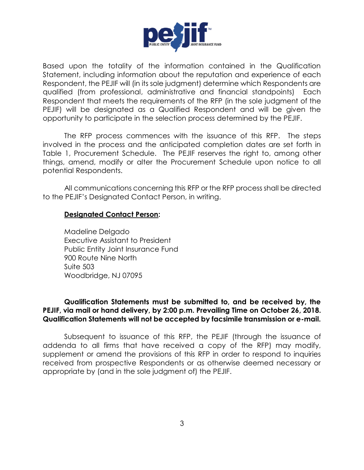

Based upon the totality of the information contained in the Qualification Statement, including information about the reputation and experience of each Respondent, the PEJIF will (in its sole judgment) determine which Respondents are qualified (from professional, administrative and financial standpoints) Each Respondent that meets the requirements of the RFP (in the sole judgment of the PEJIF) will be designated as a Qualified Respondent and will be given the opportunity to participate in the selection process determined by the PEJIF.

The RFP process commences with the issuance of this RFP. The steps involved in the process and the anticipated completion dates are set forth in Table 1, Procurement Schedule. The PEJIF reserves the right to, among other things, amend, modify or alter the Procurement Schedule upon notice to all potential Respondents.

All communications concerning this RFP or the RFP process shall be directed to the PEJIF's Designated Contact Person, in writing.

#### **Designated Contact Person:**

Madeline Delgado Executive Assistant to President Public Entity Joint Insurance Fund 900 Route Nine North Suite 503 Woodbridge, NJ 07095

### **Qualification Statements must be submitted to, and be received by, the PEJIF, via mail or hand delivery, by 2:00 p.m. Prevailing Time on October 26, 2018. Qualification Statements will not be accepted by facsimile transmission or e-mail.**

Subsequent to issuance of this RFP, the PEJIF (through the issuance of addenda to all firms that have received a copy of the RFP) may modify, supplement or amend the provisions of this RFP in order to respond to inquiries received from prospective Respondents or as otherwise deemed necessary or appropriate by (and in the sole judgment of) the PEJIF.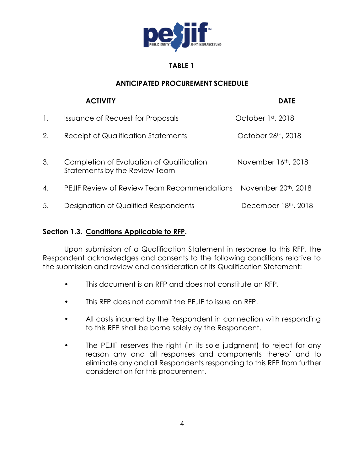

# **TABLE 1**

# **ANTICIPATED PROCUREMENT SCHEDULE**

|    | <b>ACTIVITY</b>                                                            | <b>DATE</b>                      |
|----|----------------------------------------------------------------------------|----------------------------------|
| 1. | <b>Issuance of Request for Proposals</b>                                   | October 1st, 2018                |
| 2. | <b>Receipt of Qualification Statements</b>                                 | October 26th, 2018               |
| 3. | Completion of Evaluation of Qualification<br>Statements by the Review Team | November 16th, 2018              |
| 4. | PEJIF Review of Review Team Recommendations                                | November 20 <sup>th</sup> , 2018 |
| 5. | Designation of Qualified Respondents                                       | December 18th, 2018              |

# **Section 1.3. Conditions Applicable to RFP.**

Upon submission of a Qualification Statement in response to this RFP, the Respondent acknowledges and consents to the following conditions relative to the submission and review and consideration of its Qualification Statement:

- This document is an RFP and does not constitute an RFP.
- This RFP does not commit the PEJIF to issue an RFP.
- All costs incurred by the Respondent in connection with responding to this RFP shall be borne solely by the Respondent.
- The PEJIF reserves the right (in its sole judgment) to reject for any reason any and all responses and components thereof and to eliminate any and all Respondents responding to this RFP from further consideration for this procurement.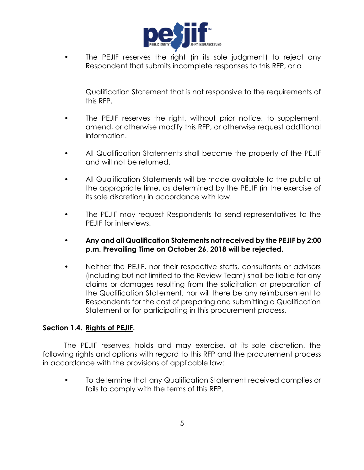

• The PEJIF reserves the right (in its sole judgment) to reject any Respondent that submits incomplete responses to this RFP, or a

Qualification Statement that is not responsive to the requirements of this RFP.

- The PEJIF reserves the right, without prior notice, to supplement, amend, or otherwise modify this RFP, or otherwise request additional information.
- All Qualification Statements shall become the property of the PEJIF and will not be returned.
- All Qualification Statements will be made available to the public at the appropriate time, as determined by the PEJIF (in the exercise of its sole discretion) in accordance with law.
- The PEJIF may request Respondents to send representatives to the PEJIF for interviews.
- **Any and all Qualification Statements not received by the PEJIF by 2:00 p.m. Prevailing Time on October 26, 2018 will be rejected.**
- Neither the PEJIF, nor their respective staffs, consultants or advisors (including but not limited to the Review Team) shall be liable for any claims or damages resulting from the solicitation or preparation of the Qualification Statement, nor will there be any reimbursement to Respondents for the cost of preparing and submitting a Qualification Statement or for participating in this procurement process.

### **Section 1.4. Rights of PEJIF.**

The PEJIF reserves, holds and may exercise, at its sole discretion, the following rights and options with regard to this RFP and the procurement process in accordance with the provisions of applicable law:

• To determine that any Qualification Statement received complies or fails to comply with the terms of this RFP.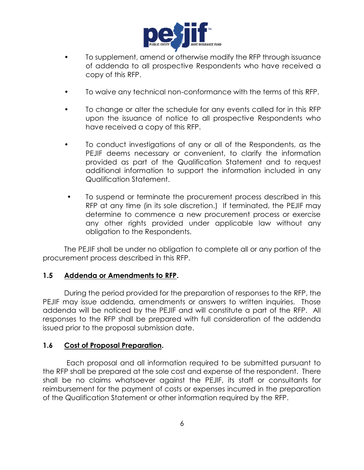

- To supplement, amend or otherwise modify the RFP through issuance of addenda to all prospective Respondents who have received a copy of this RFP.
- To waive any technical non-conformance with the terms of this RFP.
- To change or alter the schedule for any events called for in this RFP upon the issuance of notice to all prospective Respondents who have received a copy of this RFP.
- To conduct investigations of any or all of the Respondents, as the PEJIF deems necessary or convenient, to clarify the information provided as part of the Qualification Statement and to request additional information to support the information included in any Qualification Statement.
- To suspend or terminate the procurement process described in this RFP at any time (in its sole discretion.) If terminated, the PEJIF may determine to commence a new procurement process or exercise any other rights provided under applicable law without any obligation to the Respondents.

The PEJIF shall be under no obligation to complete all or any portion of the procurement process described in this RFP.

### **1.5 Addenda or Amendments to RFP.**

During the period provided for the preparation of responses to the RFP, the PEJIF may issue addenda, amendments or answers to written inquiries. Those addenda will be noticed by the PEJIF and will constitute a part of the RFP. All responses to the RFP shall be prepared with full consideration of the addenda issued prior to the proposal submission date.

#### **1.6 Cost of Proposal Preparation.**

 Each proposal and all information required to be submitted pursuant to the RFP shall be prepared at the sole cost and expense of the respondent. There shall be no claims whatsoever against the PEJIF, its staff or consultants for reimbursement for the payment of costs or expenses incurred in the preparation of the Qualification Statement or other information required by the RFP.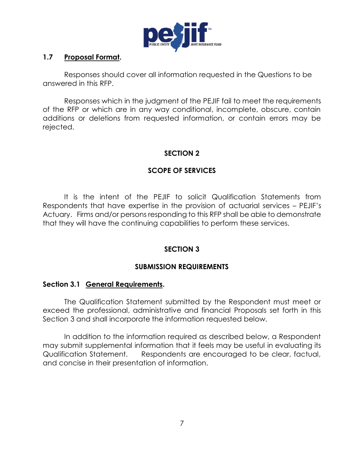

### **1.7 Proposal Format.**

Responses should cover all information requested in the Questions to be answered in this RFP.

Responses which in the judgment of the PEJIF fail to meet the requirements of the RFP or which are in any way conditional, incomplete, obscure, contain additions or deletions from requested information, or contain errors may be rejected.

### **SECTION 2**

# **SCOPE OF SERVICES**

It is the intent of the PEJIF to solicit Qualification Statements from Respondents that have expertise in the provision of actuarial services – PEJIF's Actuary. Firms and/or persons responding to this RFP shall be able to demonstrate that they will have the continuing capabilities to perform these services.

# **SECTION 3**

# **SUBMISSION REQUIREMENTS**

### **Section 3.1 General Requirements.**

The Qualification Statement submitted by the Respondent must meet or exceed the professional, administrative and financial Proposals set forth in this Section 3 and shall incorporate the information requested below.

In addition to the information required as described below, a Respondent may submit supplemental information that it feels may be useful in evaluating its Qualification Statement. Respondents are encouraged to be clear, factual, and concise in their presentation of information.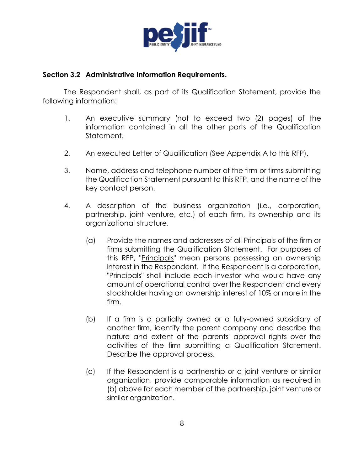

### **Section 3.2 Administrative Information Requirements.**

The Respondent shall, as part of its Qualification Statement, provide the following information:

- 1. An executive summary (not to exceed two (2) pages) of the information contained in all the other parts of the Qualification Statement.
- 2. An executed Letter of Qualification (See Appendix A to this RFP).
- 3. Name, address and telephone number of the firm or firms submitting the Qualification Statement pursuant to this RFP, and the name of the key contact person.
- 4. A description of the business organization (i.e., corporation, partnership, joint venture, etc.) of each firm, its ownership and its organizational structure.
	- (a) Provide the names and addresses of all Principals of the firm or firms submitting the Qualification Statement. For purposes of this RFP, "Principals" mean persons possessing an ownership interest in the Respondent. If the Respondent is a corporation, "Principals" shall include each investor who would have any amount of operational control over the Respondent and every stockholder having an ownership interest of 10% or more in the firm.
	- (b) If a firm is a partially owned or a fully-owned subsidiary of another firm, identify the parent company and describe the nature and extent of the parents' approval rights over the activities of the firm submitting a Qualification Statement. Describe the approval process.
	- (c) If the Respondent is a partnership or a joint venture or similar organization, provide comparable information as required in (b) above for each member of the partnership, joint venture or similar organization.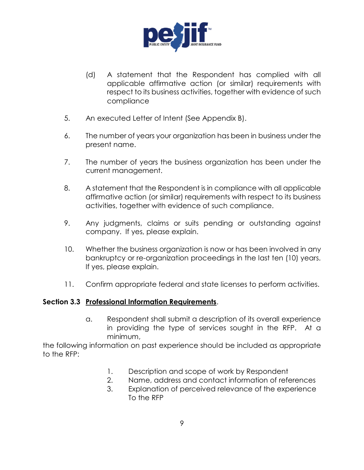

- (d) A statement that the Respondent has complied with all applicable affirmative action (or similar) requirements with respect to its business activities, together with evidence of such compliance
- 5. An executed Letter of Intent (See Appendix B).
- 6. The number of years your organization has been in business under the present name.
- 7. The number of years the business organization has been under the current management.
- 8. A statement that the Respondent is in compliance with all applicable affirmative action (or similar) requirements with respect to its business activities, together with evidence of such compliance.
- 9. Any judgments, claims or suits pending or outstanding against company. If yes, please explain.
- 10. Whether the business organization is now or has been involved in any bankruptcy or re-organization proceedings in the last ten (10) years. If yes, please explain.
- 11. Confirm appropriate federal and state licenses to perform activities.

### **Section 3.3 Professional Information Requirements**.

a. Respondent shall submit a description of its overall experience in providing the type of services sought in the RFP. At a minimum,

the following information on past experience should be included as appropriate to the RFP:

- 1. Description and scope of work by Respondent
- 2. Name, address and contact information of references
- 3. Explanation of perceived relevance of the experience To the RFP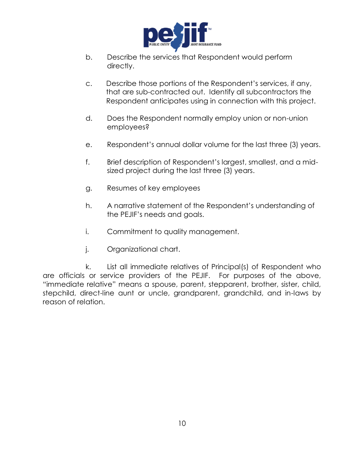

- b. Describe the services that Respondent would perform directly.
- c. Describe those portions of the Respondent's services, if any, that are sub-contracted out. Identify all subcontractors the Respondent anticipates using in connection with this project.
- d. Does the Respondent normally employ union or non-union employees?
- e. Respondent's annual dollar volume for the last three (3) years.
- f. Brief description of Respondent's largest, smallest, and a midsized project during the last three (3) years.
- g. Resumes of key employees
- h. A narrative statement of the Respondent's understanding of the PEJIF's needs and goals.
- i. Commitment to quality management.
- j. Organizational chart.

k. List all immediate relatives of Principal(s) of Respondent who are officials or service providers of the PEJIF. For purposes of the above, "immediate relative" means a spouse, parent, stepparent, brother, sister, child, stepchild, direct-line aunt or uncle, grandparent, grandchild, and in-laws by reason of relation.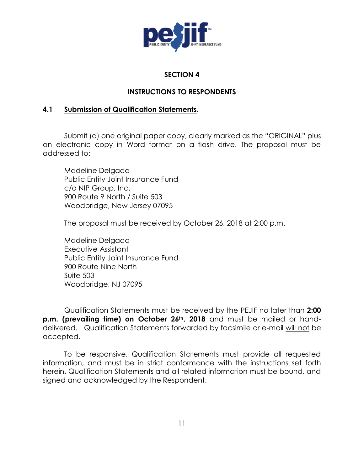

### **SECTION 4**

## **INSTRUCTIONS TO RESPONDENTS**

## **4.1 Submission of Qualification Statements.**

Submit (a) one original paper copy, clearly marked as the "ORIGINAL" plus an electronic copy in Word format on a flash drive. The proposal must be addressed to:

Madeline Delgado Public Entity Joint Insurance Fund c/o NIP Group, Inc. 900 Route 9 North / Suite 503 Woodbridge, New Jersey 07095

The proposal must be received by October 26, 2018 at 2:00 p.m.

Madeline Delgado Executive Assistant Public Entity Joint Insurance Fund 900 Route Nine North Suite 503 Woodbridge, NJ 07095

Qualification Statements must be received by the PEJIF no later than **2:00 p.m. (prevailing time) on October 26th, 2018** and must be mailed or handdelivered. Qualification Statements forwarded by facsimile or e-mail will not be accepted.

To be responsive, Qualification Statements must provide all requested information, and must be in strict conformance with the instructions set forth herein. Qualification Statements and all related information must be bound, and signed and acknowledged by the Respondent.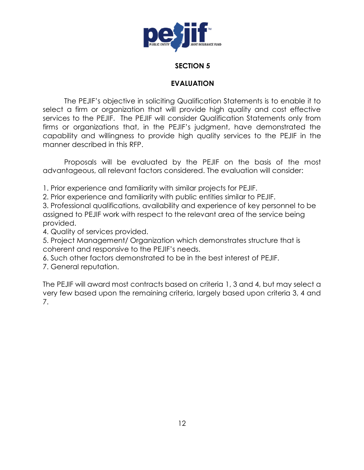

### **SECTION 5**

### **EVALUATION**

The PEJIF's objective in soliciting Qualification Statements is to enable it to select a firm or organization that will provide high quality and cost effective services to the PEJIF. The PEJIF will consider Qualification Statements only from firms or organizations that, in the PEJIF's judgment, have demonstrated the capability and willingness to provide high quality services to the PEJIF in the manner described in this RFP.

Proposals will be evaluated by the PEJIF on the basis of the most advantageous, all relevant factors considered. The evaluation will consider:

1. Prior experience and familiarity with similar projects for PEJIF.

2. Prior experience and familiarity with public entities similar to PEJIF.

3. Professional qualifications, availability and experience of key personnel to be assigned to PEJIF work with respect to the relevant area of the service being provided.

4. Quality of services provided.

5. Project Management/ Organization which demonstrates structure that is coherent and responsive to the PEJIF's needs.

6. Such other factors demonstrated to be in the best interest of PEJIF.

7. General reputation.

The PEJIF will award most contracts based on criteria 1, 3 and 4, but may select a very few based upon the remaining criteria, largely based upon criteria 3, 4 and 7.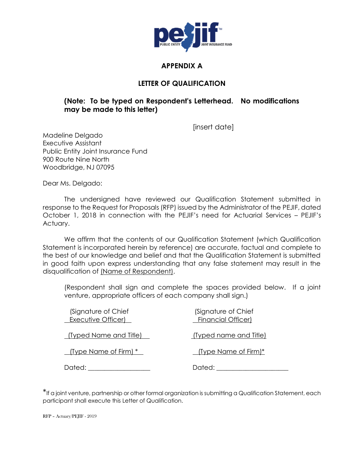

# **APPENDIX A**

### **LETTER OF QUALIFICATION**

## **(Note: To be typed on Respondent's Letterhead. No modifications may be made to this letter)**

[insert date]

Madeline Delgado Executive Assistant Public Entity Joint Insurance Fund 900 Route Nine North Woodbridge, NJ 07095

Dear Ms. Delgado:

The undersigned have reviewed our Qualification Statement submitted in response to the Request for Proposals (RFP) issued by the Administrator of the PEJIF, dated October 1, 2018 in connection with the PEJIF's need for Actuarial Services – PEJIF's Actuary.

We affirm that the contents of our Qualification Statement (which Qualification Statement is incorporated herein by reference) are accurate, factual and complete to the best of our knowledge and belief and that the Qualification Statement is submitted in good faith upon express understanding that any false statement may result in the disqualification of (Name of Respondent).

(Respondent shall sign and complete the spaces provided below. If a joint venture, appropriate officers of each company shall sign.)

| (Signature of Chief<br>Executive Officer) | (Signature of Chief<br><b>Financial Officer)</b> |
|-------------------------------------------|--------------------------------------------------|
| <u> (Typed Name and Title)  </u>          | <u>(Typed name and Title)</u>                    |
| <u> (Type Name of Firm) * _</u>           | <u>I</u> (Type Name of Firm)*                    |
| Dated:                                    | Dated:                                           |

\*If a joint venture, partnership or other formal organization is submitting a Qualification Statement, each participant shall execute this Letter of Qualification.

RFP – Actuary/PEJIF - 2019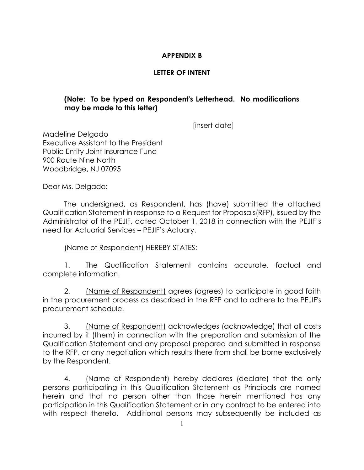## **APPENDIX B**

# **LETTER OF INTENT**

### **(Note: To be typed on Respondent's Letterhead. No modifications may be made to this letter)**

[insert date]

Madeline Delgado Executive Assistant to the President Public Entity Joint Insurance Fund 900 Route Nine North Woodbridge, NJ 07095

Dear Ms. Delgado:

The undersigned, as Respondent, has (have) submitted the attached Qualification Statement in response to a Request for Proposals(RFP), issued by the Administrator of the PEJIF, dated October 1, 2018 in connection with the PEJIF's need for Actuarial Services – PEJIF's Actuary.

(Name of Respondent) HEREBY STATES:

1. The Qualification Statement contains accurate, factual and complete information.

2. (Name of Respondent) agrees (agrees) to participate in good faith in the procurement process as described in the RFP and to adhere to the PEJIF's procurement schedule.

3. (Name of Respondent) acknowledges (acknowledge) that all costs incurred by it (them) in connection with the preparation and submission of the Qualification Statement and any proposal prepared and submitted in response to the RFP, or any negotiation which results there from shall be borne exclusively by the Respondent.

4. (Name of Respondent) hereby declares (declare) that the only persons participating in this Qualification Statement as Principals are named herein and that no person other than those herein mentioned has any participation in this Qualification Statement or in any contract to be entered into with respect thereto. Additional persons may subsequently be included as